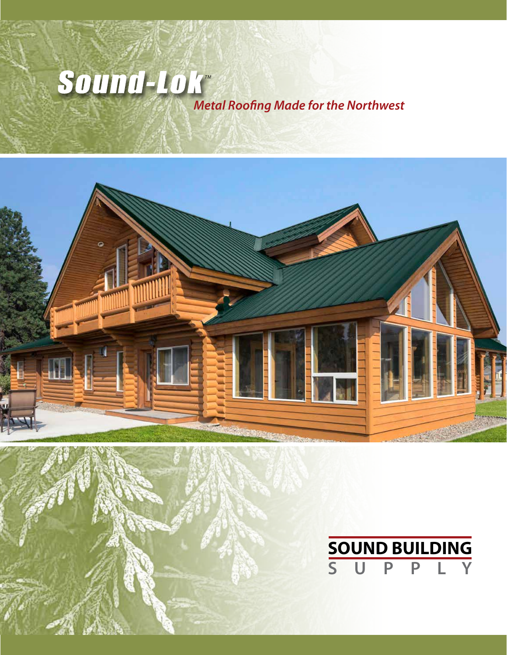## *Metal Roofing Made for the Northwest* Sound-Lok



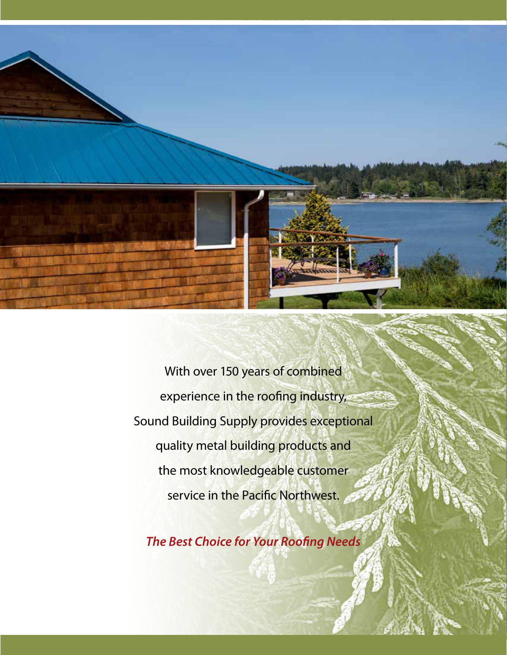

With over 150 years of combined experience in the roofing industry, Sound Building Supply provides exceptional quality metal building products and the most knowledgeable customer service in the Pacific Northwest.

*The Best Choice for Your Roofing Needs*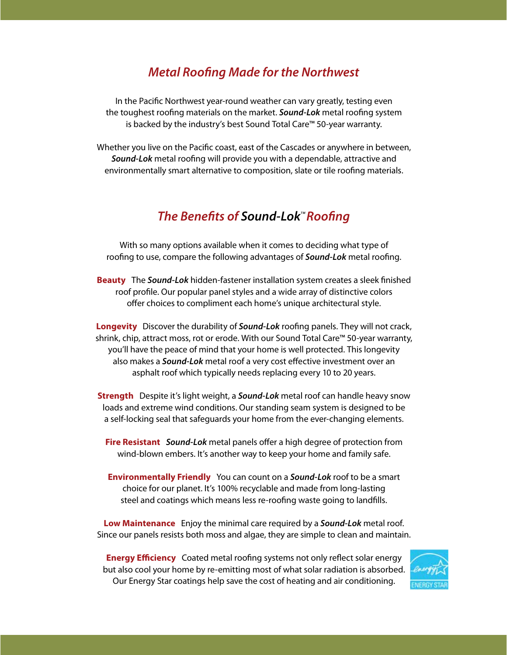#### *Metal Roofing Made for the Northwest*

In the Pacific Northwest year-round weather can vary greatly, testing even the toughest roofing materials on the market. *Sound-Lok* metal roofing system is backed by the industry's best Sound Total Care™ 50-year warranty.

Whether you live on the Pacific coast, east of the Cascades or anywhere in between, *Sound-Lok* metal roofing will provide you with a dependable, attractive and environmentally smart alternative to composition, slate or tile roofing materials.

#### **The Benefits of Sound-Lok<sup>M</sup> Roofing**

With so many options available when it comes to deciding what type of roofing to use, compare the following advantages of *Sound-Lok* metal roofing.

**Beauty** The *Sound-Lok* hidden-fastener installation system creates a sleek finished roof profile. Our popular panel styles and a wide array of distinctive colors offer choices to compliment each home's unique architectural style.

**Longevity** Discover the durability of *Sound-Lok* roofing panels. They will not crack, shrink, chip, attract moss, rot or erode. With our Sound Total Care™ 50-year warranty, you'll have the peace of mind that your home is well protected. This longevity also makes a *Sound-Lok* metal roof a very cost effective investment over an asphalt roof which typically needs replacing every 10 to 20 years.

**Strength** Despite it's light weight, a *Sound-Lok* metal roof can handle heavy snow loads and extreme wind conditions. Our standing seam system is designed to be a self-locking seal that safeguards your home from the ever-changing elements.

**Fire Resistant** *Sound-Lok* metal panels offer a high degree of protection from wind-blown embers. It's another way to keep your home and family safe.

**Environmentally Friendly** You can count on a *Sound-Lok* roof to be a smart choice for our planet. It's 100% recyclable and made from long-lasting steel and coatings which means less re-roofing waste going to landfills.

**Low Maintenance** Enjoy the minimal care required by a *Sound-Lok* metal roof. Since our panels resists both moss and algae, they are simple to clean and maintain.

**Energy Efficiency** Coated metal roofing systems not only reflect solar energy but also cool your home by re-emitting most of what solar radiation is absorbed. Our Energy Star coatings help save the cost of heating and air conditioning.

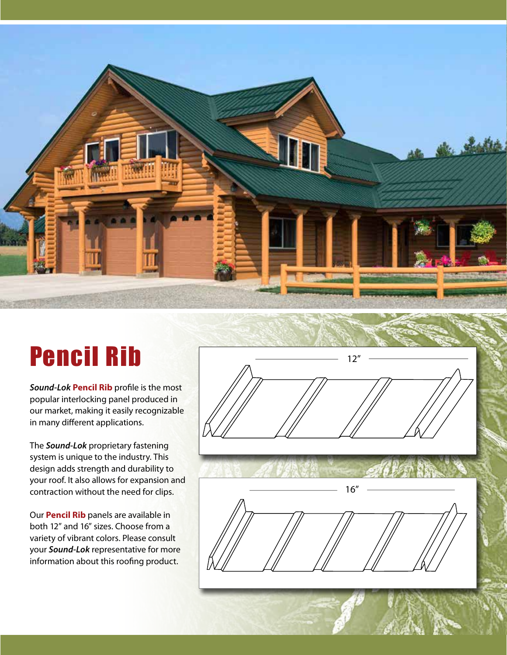

*Sound-Lok* **Pencil Rib** profile is the most popular interlocking panel produced in our market, making it easily recognizable in many different applications.

The *Sound-Lok* proprietary fastening system is unique to the industry. This design adds strength and durability to your roof. It also allows for expansion and contraction without the need for clips.

Our **Pencil Rib** panels are available in both 12" and 16" sizes. Choose from a variety of vibrant colors. Please consult your *Sound-Lok* representative for more information about this roofing product.



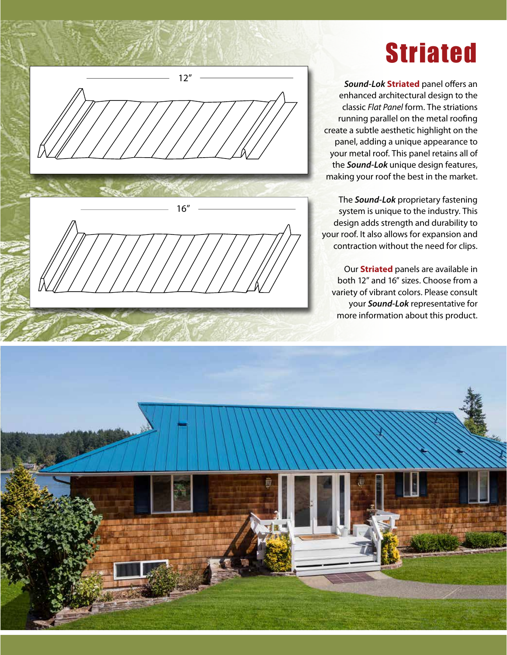# 12" 16"

## Striated

*Sound-Lok* **Striated** panel offers an enhanced architectural design to the classic *Flat Panel* form. The striations running parallel on the metal roofing create a subtle aesthetic highlight on the panel, adding a unique appearance to your metal roof. This panel retains all of the *Sound-Lok* unique design features, making your roof the best in the market.

The *Sound-Lok* proprietary fastening system is unique to the industry. This design adds strength and durability to your roof. It also allows for expansion and contraction without the need for clips.

Our **Striated** panels are available in both 12" and 16" sizes. Choose from a variety of vibrant colors. Please consult your *Sound-Lok* representative for more information about this product.

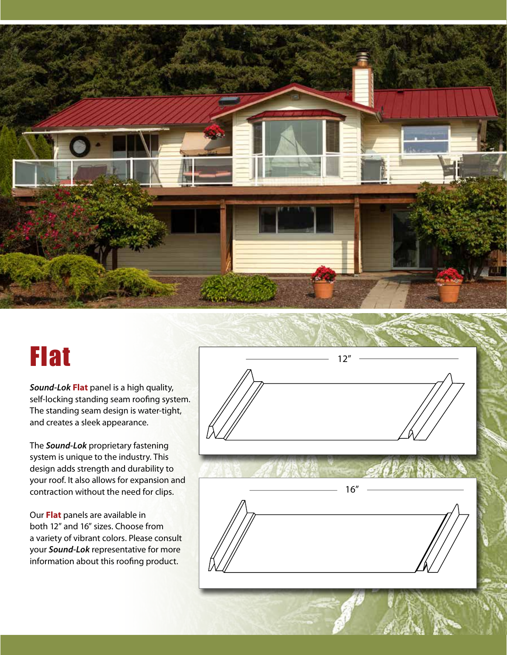

*Sound-Lok* **Flat** panel is a high quality, self-locking standing seam roofing system. The standing seam design is water-tight, and creates a sleek appearance.

The *Sound-Lok* proprietary fastening system is unique to the industry. This design adds strength and durability to your roof. It also allows for expansion and contraction without the need for clips.

Our **Flat** panels are available in both 12" and 16" sizes. Choose from a variety of vibrant colors. Please consult your *Sound-Lok* representative for more information about this roofing product.

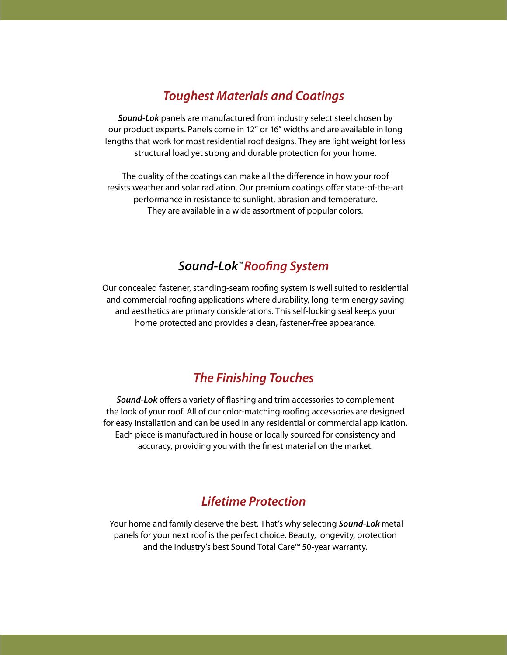#### *Toughest Materials and Coatings*

*Sound-Lok* panels are manufactured from industry select steel chosen by our product experts. Panels come in 12" or 16" widths and are available in long lengths that work for most residential roof designs. They are light weight for less structural load yet strong and durable protection for your home.

The quality of the coatings can make all the difference in how your roof resists weather and solar radiation. Our premium coatings offer state-of-the-art performance in resistance to sunlight, abrasion and temperature. They are available in a wide assortment of popular colors.

## Sound-Lok<sup>*M*</sup> Roofing System

Our concealed fastener, standing-seam roofing system is well suited to residential and commercial roofing applications where durability, long-term energy saving and aesthetics are primary considerations. This self-locking seal keeps your home protected and provides a clean, fastener-free appearance.

#### *The Finishing Touches*

*Sound-Lok* offers a variety of flashing and trim accessories to complement the look of your roof. All of our color-matching roofing accessories are designed for easy installation and can be used in any residential or commercial application. Each piece is manufactured in house or locally sourced for consistency and accuracy, providing you with the finest material on the market.

#### *Lifetime Protection*

 Your home and family deserve the best. That's why selecting *Sound-Lok* metal panels for your next roof is the perfect choice. Beauty, longevity, protection and the industry's best Sound Total Care™ 50-year warranty.